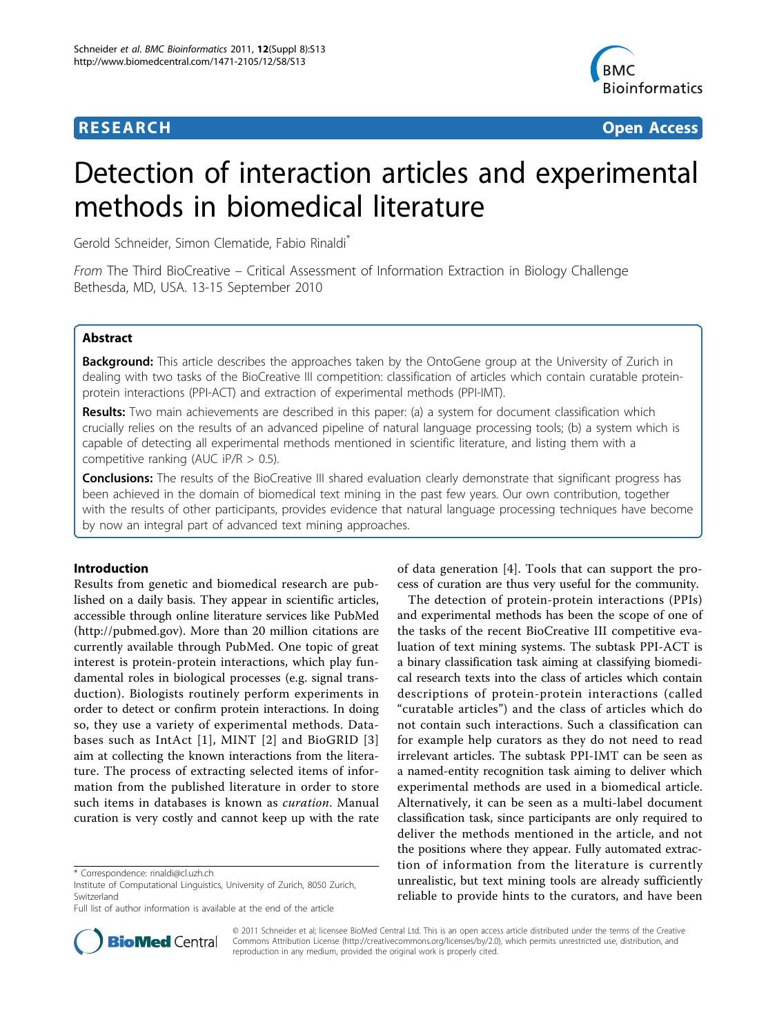## **RESEARCH CONSTRUCTION CONSTRUCTS**



# Detection of interaction articles and experimental methods in biomedical literature

Gerold Schneider, Simon Clematide, Fabio Rinaldi\*

From The Third BioCreative – Critical Assessment of Information Extraction in Biology Challenge Bethesda, MD, USA. 13-15 September 2010

## Abstract

**Background:** This article describes the approaches taken by the OntoGene group at the University of Zurich in dealing with two tasks of the BioCreative III competition: classification of articles which contain curatable proteinprotein interactions (PPI-ACT) and extraction of experimental methods (PPI-IMT).

Results: Two main achievements are described in this paper: (a) a system for document classification which crucially relies on the results of an advanced pipeline of natural language processing tools; (b) a system which is capable of detecting all experimental methods mentioned in scientific literature, and listing them with a competitive ranking (AUC iP/R  $> 0.5$ ).

**Conclusions:** The results of the BioCreative III shared evaluation clearly demonstrate that significant progress has been achieved in the domain of biomedical text mining in the past few years. Our own contribution, together with the results of other participants, provides evidence that natural language processing techniques have become by now an integral part of advanced text mining approaches.

## Introduction

Results from genetic and biomedical research are published on a daily basis. They appear in scientific articles, accessible through online literature services like PubMed (<http://pubmed.gov>). More than 20 million citations are currently available through PubMed. One topic of great interest is protein-protein interactions, which play fundamental roles in biological processes (e.g. signal transduction). Biologists routinely perform experiments in order to detect or confirm protein interactions. In doing so, they use a variety of experimental methods. Databases such as IntAct [[1\]](#page-10-0), MINT [[2](#page-10-0)] and BioGRID [[3](#page-10-0)] aim at collecting the known interactions from the literature. The process of extracting selected items of information from the published literature in order to store such items in databases is known as curation. Manual curation is very costly and cannot keep up with the rate

of data generation [[4\]](#page-10-0). Tools that can support the process of curation are thus very useful for the community.

The detection of protein-protein interactions (PPIs) and experimental methods has been the scope of one of the tasks of the recent BioCreative III competitive evaluation of text mining systems. The subtask PPI-ACT is a binary classification task aiming at classifying biomedical research texts into the class of articles which contain descriptions of protein-protein interactions (called "curatable articles") and the class of articles which do not contain such interactions. Such a classification can for example help curators as they do not need to read irrelevant articles. The subtask PPI-IMT can be seen as a named-entity recognition task aiming to deliver which experimental methods are used in a biomedical article. Alternatively, it can be seen as a multi-label document classification task, since participants are only required to deliver the methods mentioned in the article, and not the positions where they appear. Fully automated extraction of information from the literature is currently unrealistic, but text mining tools are already sufficiently reliable to provide hints to the curators, and have been



© 2011 Schneider et al; licensee BioMed Central Ltd. This is an open access article distributed under the terms of the Creative Commons Attribution License [\(http://creativecommons.org/licenses/by/2.0](http://creativecommons.org/licenses/by/2.0)), which permits unrestricted use, distribution, and reproduction in any medium, provided the original work is properly cited.

<sup>\*</sup> Correspondence: [rinaldi@cl.uzh.ch](mailto:rinaldi@cl.uzh.ch)

Institute of Computational Linguistics, University of Zurich, 8050 Zurich, Switzerland

Full list of author information is available at the end of the article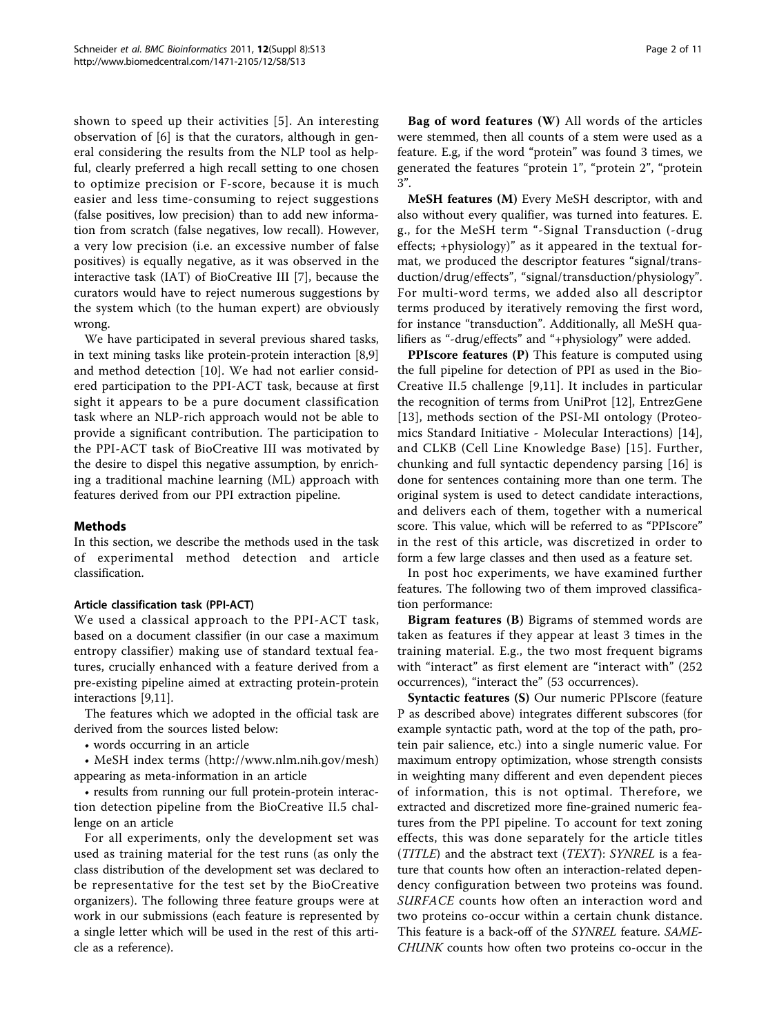shown to speed up their activities [[5](#page-10-0)]. An interesting observation of [[6\]](#page-10-0) is that the curators, although in general considering the results from the NLP tool as helpful, clearly preferred a high recall setting to one chosen to optimize precision or F-score, because it is much easier and less time-consuming to reject suggestions (false positives, low precision) than to add new information from scratch (false negatives, low recall). However, a very low precision (i.e. an excessive number of false positives) is equally negative, as it was observed in the interactive task (IAT) of BioCreative III [\[7](#page-10-0)], because the curators would have to reject numerous suggestions by the system which (to the human expert) are obviously wrong.

We have participated in several previous shared tasks, in text mining tasks like protein-protein interaction [[8](#page-10-0),[9](#page-10-0)] and method detection [[10\]](#page-10-0). We had not earlier considered participation to the PPI-ACT task, because at first sight it appears to be a pure document classification task where an NLP-rich approach would not be able to provide a significant contribution. The participation to the PPI-ACT task of BioCreative III was motivated by the desire to dispel this negative assumption, by enriching a traditional machine learning (ML) approach with features derived from our PPI extraction pipeline.

## Methods

In this section, we describe the methods used in the task of experimental method detection and article classification.

## Article classification task (PPI-ACT)

We used a classical approach to the PPI-ACT task, based on a document classifier (in our case a maximum entropy classifier) making use of standard textual features, crucially enhanced with a feature derived from a pre-existing pipeline aimed at extracting protein-protein interactions [[9,11\]](#page-10-0).

The features which we adopted in the official task are derived from the sources listed below:

• words occurring in an article

• MeSH index terms [\(http://www.nlm.nih.gov/mesh](http://www.nlm.nih.gov/mesh)) appearing as meta-information in an article

• results from running our full protein-protein interaction detection pipeline from the BioCreative II.5 challenge on an article

For all experiments, only the development set was used as training material for the test runs (as only the class distribution of the development set was declared to be representative for the test set by the BioCreative organizers). The following three feature groups were at work in our submissions (each feature is represented by a single letter which will be used in the rest of this article as a reference).

Bag of word features (W) All words of the articles were stemmed, then all counts of a stem were used as a feature. E.g, if the word "protein" was found 3 times, we generated the features "protein 1", "protein 2", "protein 3".

MeSH features (M) Every MeSH descriptor, with and also without every qualifier, was turned into features. E. g., for the MeSH term "-Signal Transduction (-drug effects; +physiology)" as it appeared in the textual format, we produced the descriptor features "signal/transduction/drug/effects", "signal/transduction/physiology". For multi-word terms, we added also all descriptor terms produced by iteratively removing the first word, for instance "transduction". Additionally, all MeSH qualifiers as "-drug/effects" and "+physiology" were added.

PPIscore features (P) This feature is computed using the full pipeline for detection of PPI as used in the Bio-Creative II.5 challenge [[9,11\]](#page-10-0). It includes in particular the recognition of terms from UniProt [[12\]](#page-10-0), EntrezGene [[13](#page-10-0)], methods section of the PSI-MI ontology (Proteomics Standard Initiative - Molecular Interactions) [[14](#page-10-0)], and CLKB (Cell Line Knowledge Base) [[15\]](#page-10-0). Further, chunking and full syntactic dependency parsing [[16](#page-10-0)] is done for sentences containing more than one term. The original system is used to detect candidate interactions, and delivers each of them, together with a numerical score. This value, which will be referred to as "PPIscore" in the rest of this article, was discretized in order to form a few large classes and then used as a feature set.

In post hoc experiments, we have examined further features. The following two of them improved classification performance:

Bigram features (B) Bigrams of stemmed words are taken as features if they appear at least 3 times in the training material. E.g., the two most frequent bigrams with "interact" as first element are "interact with" (252 occurrences), "interact the" (53 occurrences).

Syntactic features (S) Our numeric PPIscore (feature P as described above) integrates different subscores (for example syntactic path, word at the top of the path, protein pair salience, etc.) into a single numeric value. For maximum entropy optimization, whose strength consists in weighting many different and even dependent pieces of information, this is not optimal. Therefore, we extracted and discretized more fine-grained numeric features from the PPI pipeline. To account for text zoning effects, this was done separately for the article titles  $(TITLE)$  and the abstract text  $(TEXT)$ : SYNREL is a feature that counts how often an interaction-related dependency configuration between two proteins was found. SURFACE counts how often an interaction word and two proteins co-occur within a certain chunk distance. This feature is a back-off of the SYNREL feature. SAME-CHUNK counts how often two proteins co-occur in the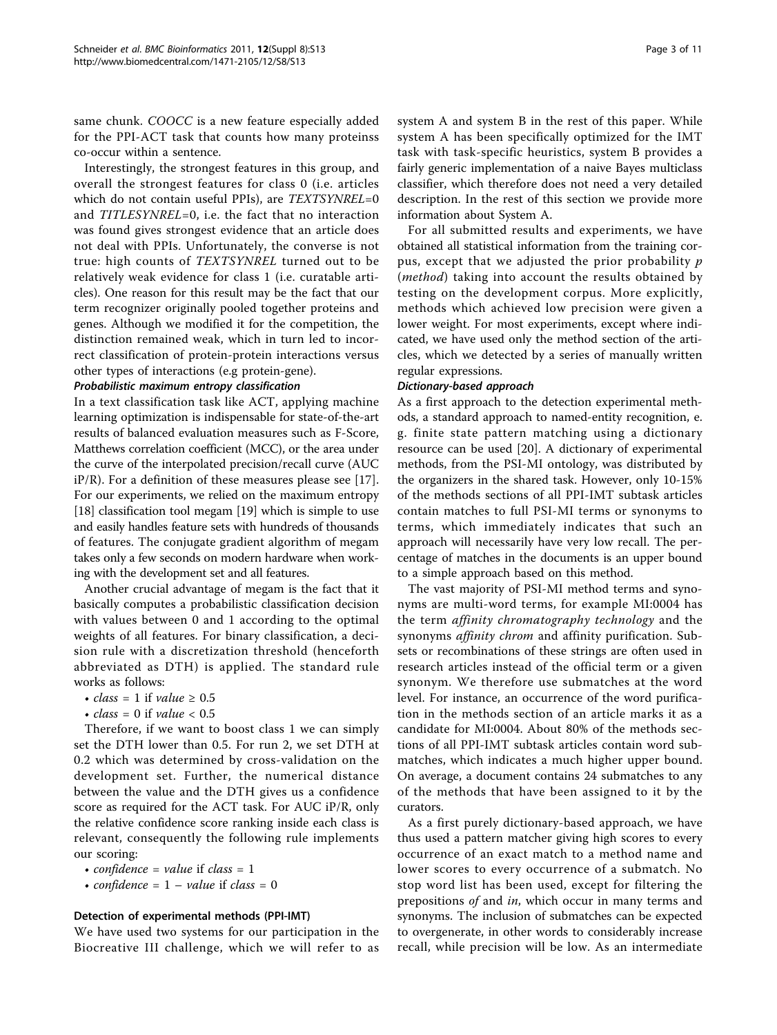same chunk. COOCC is a new feature especially added for the PPI-ACT task that counts how many proteinss co-occur within a sentence.

Interestingly, the strongest features in this group, and overall the strongest features for class 0 (i.e. articles which do not contain useful PPIs), are TEXTSYNREL=0 and TITLESYNREL=0, i.e. the fact that no interaction was found gives strongest evidence that an article does not deal with PPIs. Unfortunately, the converse is not true: high counts of TEXTSYNREL turned out to be relatively weak evidence for class 1 (i.e. curatable articles). One reason for this result may be the fact that our term recognizer originally pooled together proteins and genes. Although we modified it for the competition, the distinction remained weak, which in turn led to incorrect classification of protein-protein interactions versus other types of interactions (e.g protein-gene).

#### Probabilistic maximum entropy classification

In a text classification task like ACT, applying machine learning optimization is indispensable for state-of-the-art results of balanced evaluation measures such as F-Score, Matthews correlation coefficient (MCC), or the area under the curve of the interpolated precision/recall curve (AUC  $iP/R$ ). For a definition of these measures please see [\[17](#page-10-0)]. For our experiments, we relied on the maximum entropy [[18\]](#page-10-0) classification tool megam [[19](#page-10-0)] which is simple to use and easily handles feature sets with hundreds of thousands of features. The conjugate gradient algorithm of megam takes only a few seconds on modern hardware when working with the development set and all features.

Another crucial advantage of megam is the fact that it basically computes a probabilistic classification decision with values between 0 and 1 according to the optimal weights of all features. For binary classification, a decision rule with a discretization threshold (henceforth abbreviated as DTH) is applied. The standard rule works as follows:

- class = 1 if value  $\geq 0.5$
- class = 0 if value  $< 0.5$

Therefore, if we want to boost class 1 we can simply set the DTH lower than 0.5. For run 2, we set DTH at 0.2 which was determined by cross-validation on the development set. Further, the numerical distance between the value and the DTH gives us a confidence score as required for the ACT task. For AUC iP/R, only the relative confidence score ranking inside each class is relevant, consequently the following rule implements our scoring:

- confidence = value if class =  $1$
- confidence =  $1 value$  if class = 0

#### Detection of experimental methods (PPI-IMT)

We have used two systems for our participation in the Biocreative III challenge, which we will refer to as system A and system B in the rest of this paper. While system A has been specifically optimized for the IMT task with task-specific heuristics, system B provides a fairly generic implementation of a naive Bayes multiclass classifier, which therefore does not need a very detailed description. In the rest of this section we provide more information about System A.

For all submitted results and experiments, we have obtained all statistical information from the training corpus, except that we adjusted the prior probability  $p$ (method) taking into account the results obtained by testing on the development corpus. More explicitly, methods which achieved low precision were given a lower weight. For most experiments, except where indicated, we have used only the method section of the articles, which we detected by a series of manually written regular expressions.

#### Dictionary-based approach

As a first approach to the detection experimental methods, a standard approach to named-entity recognition, e. g. finite state pattern matching using a dictionary resource can be used [[20](#page-10-0)]. A dictionary of experimental methods, from the PSI-MI ontology, was distributed by the organizers in the shared task. However, only 10-15% of the methods sections of all PPI-IMT subtask articles contain matches to full PSI-MI terms or synonyms to terms, which immediately indicates that such an approach will necessarily have very low recall. The percentage of matches in the documents is an upper bound to a simple approach based on this method.

The vast majority of PSI-MI method terms and synonyms are multi-word terms, for example MI:0004 has the term affinity chromatography technology and the synonyms affinity chrom and affinity purification. Subsets or recombinations of these strings are often used in research articles instead of the official term or a given synonym. We therefore use submatches at the word level. For instance, an occurrence of the word purification in the methods section of an article marks it as a candidate for MI:0004. About 80% of the methods sections of all PPI-IMT subtask articles contain word submatches, which indicates a much higher upper bound. On average, a document contains 24 submatches to any of the methods that have been assigned to it by the curators.

As a first purely dictionary-based approach, we have thus used a pattern matcher giving high scores to every occurrence of an exact match to a method name and lower scores to every occurrence of a submatch. No stop word list has been used, except for filtering the prepositions of and in, which occur in many terms and synonyms. The inclusion of submatches can be expected to overgenerate, in other words to considerably increase recall, while precision will be low. As an intermediate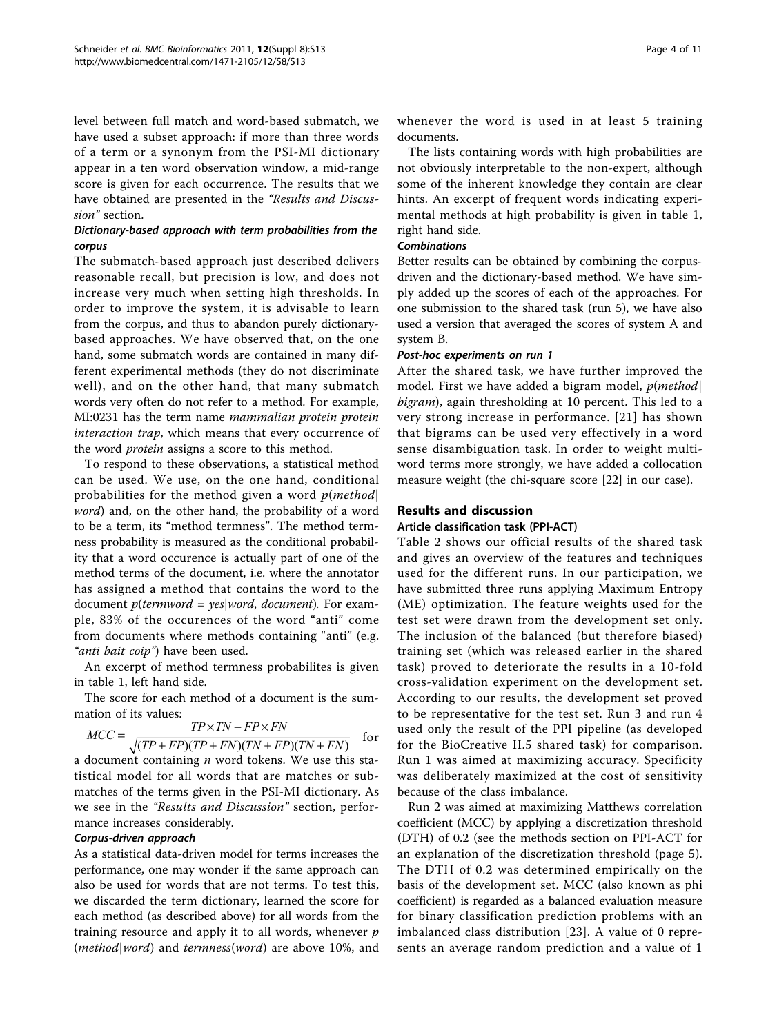level between full match and word-based submatch, we have used a subset approach: if more than three words of a term or a synonym from the PSI-MI dictionary appear in a ten word observation window, a mid-range score is given for each occurrence. The results that we have obtained are presented in the "Results and Discussion" section.

## Dictionary-based approach with term probabilities from the corpus

The submatch-based approach just described delivers reasonable recall, but precision is low, and does not increase very much when setting high thresholds. In order to improve the system, it is advisable to learn from the corpus, and thus to abandon purely dictionarybased approaches. We have observed that, on the one hand, some submatch words are contained in many different experimental methods (they do not discriminate well), and on the other hand, that many submatch words very often do not refer to a method. For example, MI:0231 has the term name mammalian protein protein interaction trap, which means that every occurrence of the word protein assigns a score to this method.

To respond to these observations, a statistical method can be used. We use, on the one hand, conditional probabilities for the method given a word  $p(method)$ word) and, on the other hand, the probability of a word to be a term, its "method termness". The method termness probability is measured as the conditional probability that a word occurence is actually part of one of the method terms of the document, i.e. where the annotator has assigned a method that contains the word to the document  $p(termword = yes|word, document)$ . For example, 83% of the occurences of the word "anti" come from documents where methods containing "anti" (e.g. "anti bait coip") have been used.

An excerpt of method termness probabilites is given in table [1,](#page-4-0) left hand side.

The score for each method of a document is the summation of its values:

$$
MCC = \frac{TP \times TN - FP \times FN}{\sqrt{(TP + FP)(TP + FN)(TN + FP)(TN + FN)}}
$$
 for

a document containing  $n$  word tokens. We use this statistical model for all words that are matches or submatches of the terms given in the PSI-MI dictionary. As we see in the "Results and Discussion" section, performance increases considerably.

## Corpus-driven approach

As a statistical data-driven model for terms increases the performance, one may wonder if the same approach can also be used for words that are not terms. To test this, we discarded the term dictionary, learned the score for each method (as described above) for all words from the training resource and apply it to all words, whenever  $p$ (*method*|word) and termness(word) are above 10%, and whenever the word is used in at least 5 training documents.

The lists containing words with high probabilities are not obviously interpretable to the non-expert, although some of the inherent knowledge they contain are clear hints. An excerpt of frequent words indicating experimental methods at high probability is given in table [1](#page-4-0), right hand side.

#### Combinations

Better results can be obtained by combining the corpusdriven and the dictionary-based method. We have simply added up the scores of each of the approaches. For one submission to the shared task (run 5), we have also used a version that averaged the scores of system A and system B.

#### Post-hoc experiments on run 1

After the shared task, we have further improved the model. First we have added a bigram model,  $p(method)$ bigram), again thresholding at 10 percent. This led to a very strong increase in performance. [[21](#page-10-0)] has shown that bigrams can be used very effectively in a word sense disambiguation task. In order to weight multiword terms more strongly, we have added a collocation measure weight (the chi-square score [[22](#page-10-0)] in our case).

### Results and discussion

#### Article classification task (PPI-ACT)

Table [2](#page-5-0) shows our official results of the shared task and gives an overview of the features and techniques used for the different runs. In our participation, we have submitted three runs applying Maximum Entropy (ME) optimization. The feature weights used for the test set were drawn from the development set only. The inclusion of the balanced (but therefore biased) training set (which was released earlier in the shared task) proved to deteriorate the results in a 10-fold cross-validation experiment on the development set. According to our results, the development set proved to be representative for the test set. Run 3 and run 4 used only the result of the PPI pipeline (as developed for the BioCreative II.5 shared task) for comparison. Run 1 was aimed at maximizing accuracy. Specificity was deliberately maximized at the cost of sensitivity because of the class imbalance.

Run 2 was aimed at maximizing Matthews correlation coefficient (MCC) by applying a discretization threshold (DTH) of 0.2 (see the methods section on PPI-ACT for an explanation of the discretization threshold (page 5). The DTH of 0.2 was determined empirically on the basis of the development set. MCC (also known as phi coefficient) is regarded as a balanced evaluation measure for binary classification prediction problems with an imbalanced class distribution [[23\]](#page-10-0). A value of 0 represents an average random prediction and a value of 1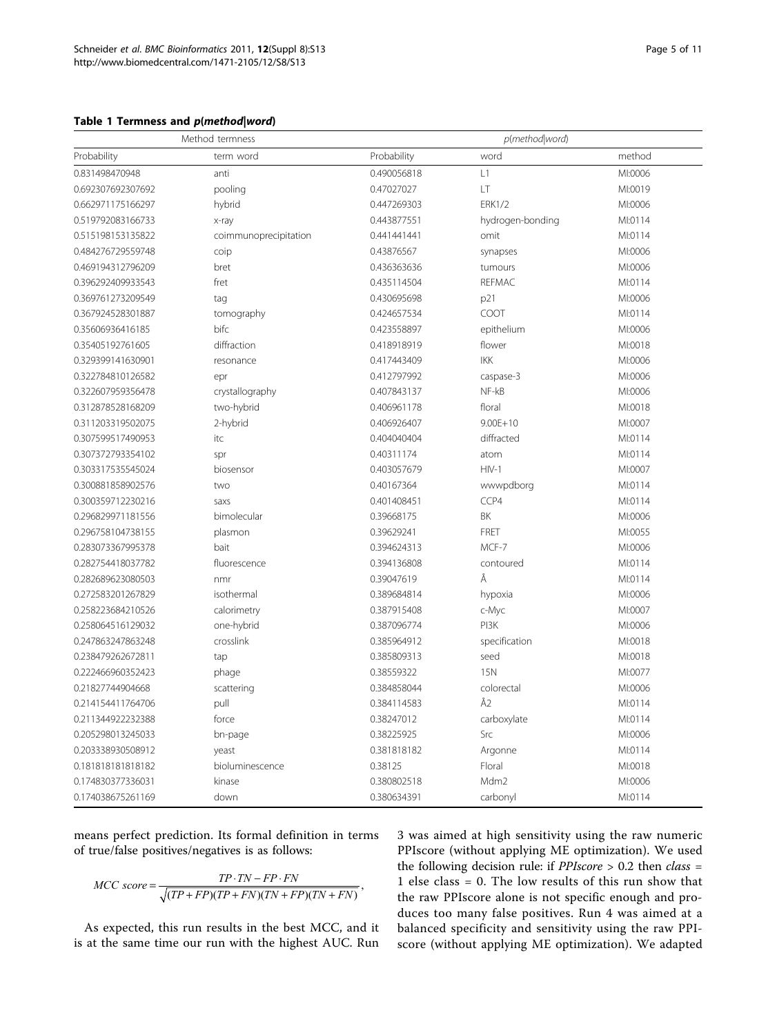### <span id="page-4-0"></span>Table 1 Termness and  $p(method|word)$

|                   | Method termness       |             | p(method word)   |         |  |  |  |
|-------------------|-----------------------|-------------|------------------|---------|--|--|--|
| Probability       | term word             | Probability | word             | method  |  |  |  |
| 0.831498470948    | anti                  | 0.490056818 | L1               | MI:0006 |  |  |  |
| 0.692307692307692 | pooling               | 0.47027027  | LT               | MI:0019 |  |  |  |
| 0.662971175166297 | hybrid                | 0.447269303 | <b>ERK1/2</b>    | MI:0006 |  |  |  |
| 0.519792083166733 | x-ray                 | 0.443877551 | hydrogen-bonding | MI:0114 |  |  |  |
| 0.515198153135822 | coimmunoprecipitation | 0.441441441 | omit             | MI:0114 |  |  |  |
| 0.484276729559748 | coip                  | 0.43876567  | synapses         | MI:0006 |  |  |  |
| 0.469194312796209 | bret                  | 0.436363636 | tumours          | MI:0006 |  |  |  |
| 0.396292409933543 | fret                  | 0.435114504 | <b>REFMAC</b>    | MI:0114 |  |  |  |
| 0.369761273209549 | tag                   | 0.430695698 | p21              | MI:0006 |  |  |  |
| 0.367924528301887 | tomography            | 0.424657534 | COOT             | MI:0114 |  |  |  |
| 0.35606936416185  | bifc                  | 0.423558897 | epithelium       | MI:0006 |  |  |  |
| 0.35405192761605  | diffraction           | 0.418918919 | flower           | MI:0018 |  |  |  |
| 0.329399141630901 | resonance             | 0.417443409 | <b>IKK</b>       | MI:0006 |  |  |  |
| 0.322784810126582 | epr                   | 0.412797992 | caspase-3        | MI:0006 |  |  |  |
| 0.322607959356478 | crystallography       | 0.407843137 | NF-kB            | MI:0006 |  |  |  |
| 0.312878528168209 | two-hybrid            | 0.406961178 | floral           | MI:0018 |  |  |  |
| 0.311203319502075 | 2-hybrid              | 0.406926407 | $9.00E + 10$     | MI:0007 |  |  |  |
| 0.307599517490953 | itc                   | 0.404040404 | diffracted       | MI:0114 |  |  |  |
| 0.307372793354102 | spr                   | 0.40311174  | atom             | MI:0114 |  |  |  |
| 0.303317535545024 | biosensor             | 0.403057679 | $HIV-1$          | MI:0007 |  |  |  |
| 0.300881858902576 | two                   | 0.40167364  | wwwpdborg        | MI:0114 |  |  |  |
| 0.300359712230216 | saxs                  | 0.401408451 | CCP4             | MI:0114 |  |  |  |
| 0.296829971181556 | bimolecular           | 0.39668175  | BK               | MI:0006 |  |  |  |
| 0.296758104738155 | plasmon               | 0.39629241  | <b>FRFT</b>      | MI:0055 |  |  |  |
| 0.283073367995378 | bait                  | 0.394624313 | MCF-7            | MI:0006 |  |  |  |
| 0.282754418037782 | fluorescence          | 0.394136808 | contoured        | MI:0114 |  |  |  |
| 0.282689623080503 | nmr                   | 0.39047619  | Å                | MI:0114 |  |  |  |
| 0.272583201267829 | isothermal            | 0.389684814 | hypoxia          | MI:0006 |  |  |  |
| 0.258223684210526 | calorimetry           | 0.387915408 | c-Myc            | MI:0007 |  |  |  |
| 0.258064516129032 | one-hybrid            | 0.387096774 | PI3K             | MI:0006 |  |  |  |
| 0.247863247863248 | crosslink             | 0.385964912 | specification    | MI:0018 |  |  |  |
| 0.238479262672811 | tap                   | 0.385809313 | seed             | MI:0018 |  |  |  |
| 0.222466960352423 | phage                 | 0.38559322  | 15N              | MI:0077 |  |  |  |
| 0.21827744904668  | scattering            | 0.384858044 | colorectal       | MI:0006 |  |  |  |
| 0.214154411764706 | pull                  | 0.384114583 | Å2               | MI:0114 |  |  |  |
| 0.211344922232388 | force                 | 0.38247012  | carboxylate      | MI:0114 |  |  |  |
| 0.205298013245033 | bn-page               | 0.38225925  | Src              | MI:0006 |  |  |  |
| 0.203338930508912 | yeast                 | 0.381818182 | Argonne          | MI:0114 |  |  |  |
| 0.181818181818182 | bioluminescence       | 0.38125     | Floral           | MI:0018 |  |  |  |
| 0.174830377336031 | kinase                | 0.380802518 | Mdm2             | MI:0006 |  |  |  |
| 0.174038675261169 | down                  | 0.380634391 | carbonyl         | MI:0114 |  |  |  |

means perfect prediction. Its formal definition in terms of true/false positives/negatives is as follows:

$$
MCC\ score = \frac{TP \cdot TN - FP \cdot FN}{\sqrt{(TP + FP)(TP + FN)(TN + FP)(TN + FN)}},
$$

As expected, this run results in the best MCC, and it is at the same time our run with the highest AUC. Run 3 was aimed at high sensitivity using the raw numeric PPIscore (without applying ME optimization). We used the following decision rule: if PPIscore > 0.2 then class = 1 else class = 0. The low results of this run show that the raw PPIscore alone is not specific enough and produces too many false positives. Run 4 was aimed at a balanced specificity and sensitivity using the raw PPIscore (without applying ME optimization). We adapted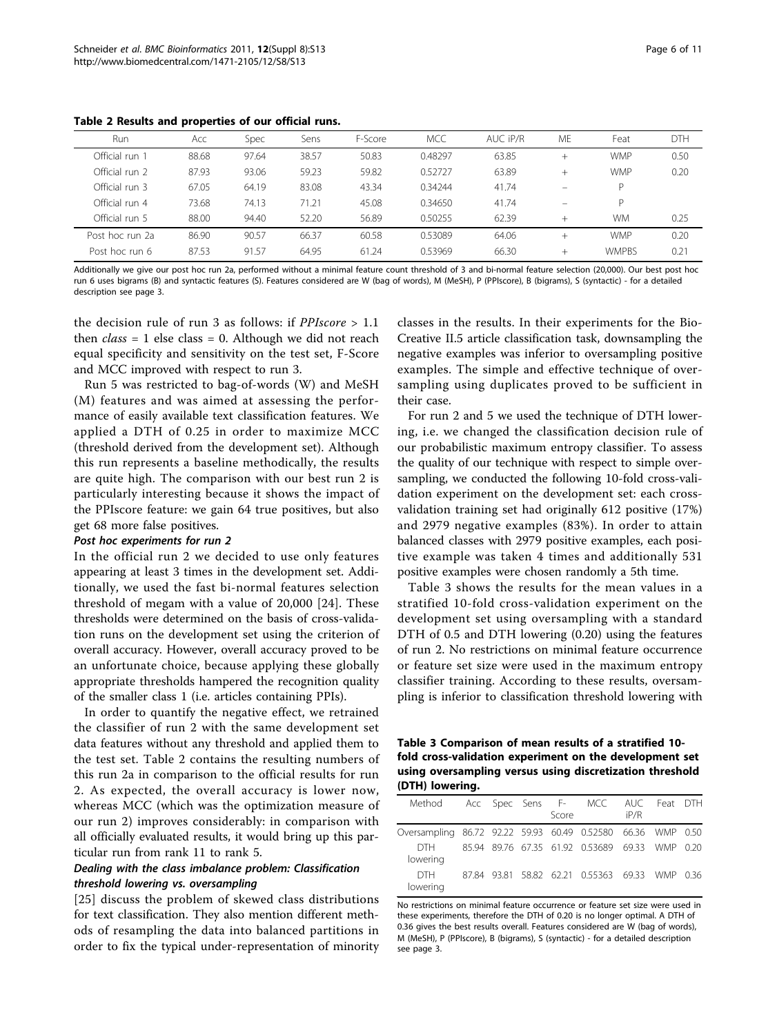<span id="page-5-0"></span>Table 2 Results and properties of our official runs.

| Run             | Acc   | Spec  | Sens  | F-Score | <b>MCC</b> | AUC iP/R | ME       | Feat         | <b>DTH</b> |
|-----------------|-------|-------|-------|---------|------------|----------|----------|--------------|------------|
| Official run 1  | 88.68 | 97.64 | 38.57 | 50.83   | 0.48297    | 63.85    | $^{+}$   | <b>WMP</b>   | 0.50       |
| Official run 2  | 87.93 | 93.06 | 59.23 | 59.82   | 0.52727    | 63.89    | $^{+}$   | <b>WMP</b>   | 0.20       |
| Official run 3  | 67.05 | 64.19 | 83.08 | 43.34   | 0.34244    | 41.74    | -        |              |            |
| Official run 4  | 73.68 | 74.13 | 71.21 | 45.08   | 0.34650    | 41.74    | $\equiv$ | D            |            |
| Official run 5  | 88.00 | 94.40 | 52.20 | 56.89   | 0.50255    | 62.39    | $^{+}$   | <b>WM</b>    | 0.25       |
| Post hoc run 2a | 86.90 | 90.57 | 66.37 | 60.58   | 0.53089    | 64.06    | $^{+}$   | <b>WMP</b>   | 0.20       |
| Post hoc run 6  | 87.53 | 91.57 | 64.95 | 61.24   | 0.53969    | 66.30    | $^+$     | <b>WMPBS</b> | 0.21       |
|                 |       |       |       |         |            |          |          |              |            |

Additionally we give our post hoc run 2a, performed without a minimal feature count threshold of 3 and bi-normal feature selection (20,000). Our best post hoc run 6 uses bigrams (B) and syntactic features (S). Features considered are W (bag of words), M (MeSH), P (PPIscore), B (bigrams), S (syntactic) - for a detailed description see page 3.

the decision rule of run 3 as follows: if PPIscore > 1.1 then  $class = 1$  else class = 0. Although we did not reach equal specificity and sensitivity on the test set, F-Score and MCC improved with respect to run 3.

Run 5 was restricted to bag-of-words (W) and MeSH (M) features and was aimed at assessing the performance of easily available text classification features. We applied a DTH of 0.25 in order to maximize MCC (threshold derived from the development set). Although this run represents a baseline methodically, the results are quite high. The comparison with our best run 2 is particularly interesting because it shows the impact of the PPIscore feature: we gain 64 true positives, but also get 68 more false positives.

#### Post hoc experiments for run 2

In the official run 2 we decided to use only features appearing at least 3 times in the development set. Additionally, we used the fast bi-normal features selection threshold of megam with a value of 20,000 [[24\]](#page-10-0). These thresholds were determined on the basis of cross-validation runs on the development set using the criterion of overall accuracy. However, overall accuracy proved to be an unfortunate choice, because applying these globally appropriate thresholds hampered the recognition quality of the smaller class 1 (i.e. articles containing PPIs).

In order to quantify the negative effect, we retrained the classifier of run 2 with the same development set data features without any threshold and applied them to the test set. Table 2 contains the resulting numbers of this run 2a in comparison to the official results for run 2. As expected, the overall accuracy is lower now, whereas MCC (which was the optimization measure of our run 2) improves considerably: in comparison with all officially evaluated results, it would bring up this particular run from rank 11 to rank 5.

### Dealing with the class imbalance problem: Classification threshold lowering vs. oversampling

[[25](#page-10-0)] discuss the problem of skewed class distributions for text classification. They also mention different methods of resampling the data into balanced partitions in order to fix the typical under-representation of minority classes in the results. In their experiments for the Bio-Creative II.5 article classification task, downsampling the negative examples was inferior to oversampling positive examples. The simple and effective technique of oversampling using duplicates proved to be sufficient in their case.

For run 2 and 5 we used the technique of DTH lowering, i.e. we changed the classification decision rule of our probabilistic maximum entropy classifier. To assess the quality of our technique with respect to simple oversampling, we conducted the following 10-fold cross-validation experiment on the development set: each crossvalidation training set had originally 612 positive (17%) and 2979 negative examples (83%). In order to attain balanced classes with 2979 positive examples, each positive example was taken 4 times and additionally 531 positive examples were chosen randomly a 5th time.

Table 3 shows the results for the mean values in a stratified 10-fold cross-validation experiment on the development set using oversampling with a standard DTH of 0.5 and DTH lowering (0.20) using the features of run 2. No restrictions on minimal feature occurrence or feature set size were used in the maximum entropy classifier training. According to these results, oversampling is inferior to classification threshold lowering with

Table 3 Comparison of mean results of a stratified 10 fold cross-validation experiment on the development set using oversampling versus using discretization threshold (DTH) lowering.

| Method Acc Spec Sens F- MCC AUC Feat DTH                    |  | Score |                                                | iP/R |  |
|-------------------------------------------------------------|--|-------|------------------------------------------------|------|--|
| Oversampling 86.72 92.22 59.93 60.49 0.52580 66.36 WMP 0.50 |  |       |                                                |      |  |
| <b>DTH</b><br>lowering                                      |  |       | 85.94 89.76 67.35 61.92 0.53689 69.33 WMP 0.20 |      |  |
| <b>DTH</b><br>lowering                                      |  |       | 87.84 93.81 58.82 62.21 0.55363 69.33 WMP 0.36 |      |  |

No restrictions on minimal feature occurrence or feature set size were used in these experiments, therefore the DTH of 0.20 is no longer optimal. A DTH of 0.36 gives the best results overall. Features considered are W (bag of words), M (MeSH), P (PPIscore), B (bigrams), S (syntactic) - for a detailed description see page 3.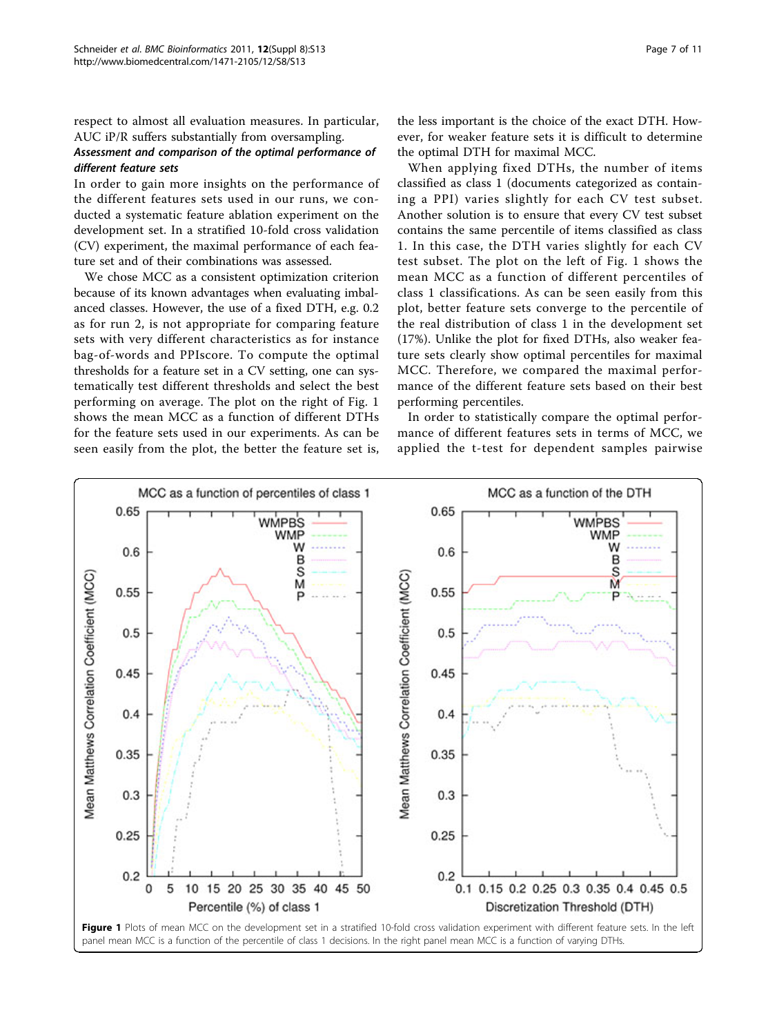respect to almost all evaluation measures. In particular, AUC iP/R suffers substantially from oversampling.

## Assessment and comparison of the optimal performance of different feature sets

In order to gain more insights on the performance of the different features sets used in our runs, we conducted a systematic feature ablation experiment on the development set. In a stratified 10-fold cross validation (CV) experiment, the maximal performance of each feature set and of their combinations was assessed.

We chose MCC as a consistent optimization criterion because of its known advantages when evaluating imbalanced classes. However, the use of a fixed DTH, e.g. 0.2 as for run 2, is not appropriate for comparing feature sets with very different characteristics as for instance bag-of-words and PPIscore. To compute the optimal thresholds for a feature set in a CV setting, one can systematically test different thresholds and select the best performing on average. The plot on the right of Fig. 1 shows the mean MCC as a function of different DTHs for the feature sets used in our experiments. As can be seen easily from the plot, the better the feature set is, the less important is the choice of the exact DTH. However, for weaker feature sets it is difficult to determine the optimal DTH for maximal MCC.

When applying fixed DTHs, the number of items classified as class 1 (documents categorized as containing a PPI) varies slightly for each CV test subset. Another solution is to ensure that every CV test subset contains the same percentile of items classified as class 1. In this case, the DTH varies slightly for each CV test subset. The plot on the left of Fig. 1 shows the mean MCC as a function of different percentiles of class 1 classifications. As can be seen easily from this plot, better feature sets converge to the percentile of the real distribution of class 1 in the development set (17%). Unlike the plot for fixed DTHs, also weaker feature sets clearly show optimal percentiles for maximal MCC. Therefore, we compared the maximal performance of the different feature sets based on their best performing percentiles.

In order to statistically compare the optimal performance of different features sets in terms of MCC, we applied the t-test for dependent samples pairwise

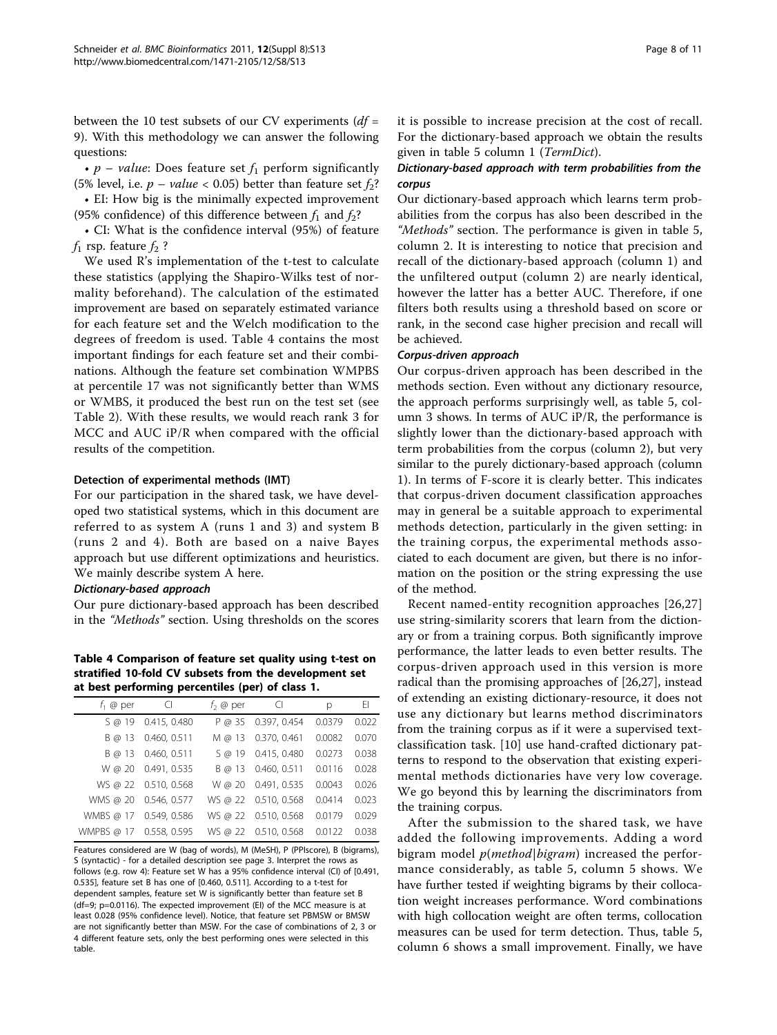between the 10 test subsets of our CV experiments  $(df =$ 9). With this methodology we can answer the following questions:

•  $p$  – *value*: Does feature set  $f_1$  perform significantly (5% level, i.e.  $p - value < 0.05$ ) better than feature set  $f_2$ ?

• EI: How big is the minimally expected improvement (95% confidence) of this difference between  $f_1$  and  $f_2$ ?

• CI: What is the confidence interval (95%) of feature  $f_1$  rsp. feature  $f_2$  ?

We used R's implementation of the t-test to calculate these statistics (applying the Shapiro-Wilks test of normality beforehand). The calculation of the estimated improvement are based on separately estimated variance for each feature set and the Welch modification to the degrees of freedom is used. Table 4 contains the most important findings for each feature set and their combinations. Although the feature set combination WMPBS at percentile 17 was not significantly better than WMS or WMBS, it produced the best run on the test set (see Table [2](#page-5-0)). With these results, we would reach rank 3 for MCC and AUC iP/R when compared with the official results of the competition.

#### Detection of experimental methods (IMT)

For our participation in the shared task, we have developed two statistical systems, which in this document are referred to as system A (runs 1 and 3) and system B (runs 2 and 4). Both are based on a naive Bayes approach but use different optimizations and heuristics. We mainly describe system A here.

#### Dictionary-based approach

Our pure dictionary-based approach has been described in the "Methods" section. Using thresholds on the scores

Table 4 Comparison of feature set quality using t-test on stratified 10-fold CV subsets from the development set at best performing percentiles (per) of class 1.

| $f_1 \otimes$ per       | $\Box$                | $f_2 \otimes$ per | CI                   | р      | EI    |
|-------------------------|-----------------------|-------------------|----------------------|--------|-------|
|                         | S @ 19 0.415, 0.480   |                   | P @ 35 0.397, 0.454  | 0.0379 | 0.022 |
|                         | B @ 13 0.460, 0.511   |                   | M @ 13 0.370, 0.461  | 0.0082 | 0.070 |
|                         | B @ 13 0.460, 0.511   |                   | S @ 19 0.415, 0.480  | 0.0273 | 0.038 |
|                         | W @ 20 0.491, 0.535   |                   | B @ 13 0.460, 0.511  | 0.0116 | 0.028 |
|                         | WS @ 22 0.510, 0.568  |                   | W @ 20 0.491, 0.535  | 0.0043 | 0.026 |
|                         | WMS @ 20 0.546, 0.577 |                   | WS @ 22 0.510, 0.568 | 0.0414 | 0.023 |
| WMBS @ 17 0.549, 0.586  |                       |                   | WS @ 22 0.510, 0.568 | 0.0179 | 0.029 |
| WMPBS @ 17 0.558, 0.595 |                       |                   | WS @ 22 0.510, 0.568 | 0.0122 | 0.038 |
|                         |                       |                   |                      |        |       |

Features considered are W (bag of words), M (MeSH), P (PPIscore), B (bigrams), S (syntactic) - for a detailed description see page 3. Interpret the rows as follows (e.g. row 4): Feature set W has a 95% confidence interval (CI) of [0.491, 0.535], feature set B has one of [0.460, 0.511]. According to a t-test for dependent samples, feature set W is significantly better than feature set B (df=9; p=0.0116). The expected improvement (EI) of the MCC measure is at least 0.028 (95% confidence level). Notice, that feature set PBMSW or BMSW are not significantly better than MSW. For the case of combinations of 2, 3 or 4 different feature sets, only the best performing ones were selected in this table.

it is possible to increase precision at the cost of recall. For the dictionary-based approach we obtain the results given in table [5](#page-8-0) column 1 (TermDict).

## Dictionary-based approach with term probabilities from the corpus

Our dictionary-based approach which learns term probabilities from the corpus has also been described in the "Methods" section. The performance is given in table [5](#page-8-0), column 2. It is interesting to notice that precision and recall of the dictionary-based approach (column 1) and the unfiltered output (column 2) are nearly identical, however the latter has a better AUC. Therefore, if one filters both results using a threshold based on score or rank, in the second case higher precision and recall will be achieved.

#### Corpus-driven approach

Our corpus-driven approach has been described in the methods section. Even without any dictionary resource, the approach performs surprisingly well, as table [5](#page-8-0), column 3 shows. In terms of AUC iP/R, the performance is slightly lower than the dictionary-based approach with term probabilities from the corpus (column 2), but very similar to the purely dictionary-based approach (column 1). In terms of F-score it is clearly better. This indicates that corpus-driven document classification approaches may in general be a suitable approach to experimental methods detection, particularly in the given setting: in the training corpus, the experimental methods associated to each document are given, but there is no information on the position or the string expressing the use of the method.

Recent named-entity recognition approaches [[26,27](#page-10-0)] use string-similarity scorers that learn from the dictionary or from a training corpus. Both significantly improve performance, the latter leads to even better results. The corpus-driven approach used in this version is more radical than the promising approaches of [[26](#page-10-0),[27](#page-10-0)], instead of extending an existing dictionary-resource, it does not use any dictionary but learns method discriminators from the training corpus as if it were a supervised textclassification task. [[10\]](#page-10-0) use hand-crafted dictionary patterns to respond to the observation that existing experimental methods dictionaries have very low coverage. We go beyond this by learning the discriminators from the training corpus.

After the submission to the shared task, we have added the following improvements. Adding a word bigram model  $p(method|bigram)$  increased the performance considerably, as table [5](#page-8-0), column 5 shows. We have further tested if weighting bigrams by their collocation weight increases performance. Word combinations with high collocation weight are often terms, collocation measures can be used for term detection. Thus, table [5](#page-8-0), column 6 shows a small improvement. Finally, we have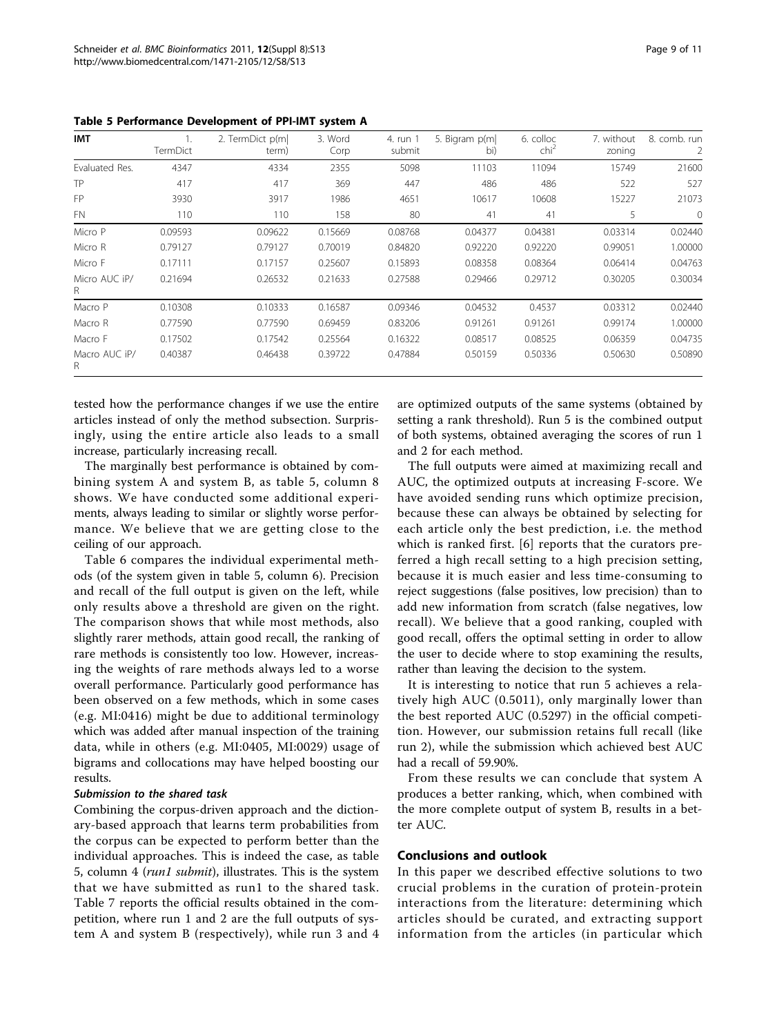| IMT                | TermDict | 2. TermDict p(m)<br>term) | 3. Word<br>Corp | 4. run 1<br>submit | 5. Bigram p(m)<br>bi) | 6. colloc<br>$\chi$ chi <sup>2</sup> | 7. without<br>zoning | 8. comb. run<br>2 |
|--------------------|----------|---------------------------|-----------------|--------------------|-----------------------|--------------------------------------|----------------------|-------------------|
| Evaluated Res.     | 4347     | 4334                      | 2355            | 5098               | 11103                 | 11094                                | 15749                | 21600             |
| TP                 | 417      | 417                       | 369             | 447                | 486                   | 486                                  | 522                  | 527               |
| <b>FP</b>          | 3930     | 3917                      | 1986            | 4651               | 10617                 | 10608                                | 15227                | 21073             |
| <b>FN</b>          | 110      | 110                       | 158             | 80                 | 41                    | 41                                   | 5                    | $\overline{0}$    |
| Micro P            | 0.09593  | 0.09622                   | 0.15669         | 0.08768            | 0.04377               | 0.04381                              | 0.03314              | 0.02440           |
| Micro R            | 0.79127  | 0.79127                   | 0.70019         | 0.84820            | 0.92220               | 0.92220                              | 0.99051              | 1.00000           |
| Micro F            | 0.17111  | 0.17157                   | 0.25607         | 0.15893            | 0.08358               | 0.08364                              | 0.06414              | 0.04763           |
| Micro AUC iP/<br>R | 0.21694  | 0.26532                   | 0.21633         | 0.27588            | 0.29466               | 0.29712                              | 0.30205              | 0.30034           |
| Macro P            | 0.10308  | 0.10333                   | 0.16587         | 0.09346            | 0.04532               | 0.4537                               | 0.03312              | 0.02440           |
| Macro R            | 0.77590  | 0.77590                   | 0.69459         | 0.83206            | 0.91261               | 0.91261                              | 0.99174              | 1.00000           |
| Macro F            | 0.17502  | 0.17542                   | 0.25564         | 0.16322            | 0.08517               | 0.08525                              | 0.06359              | 0.04735           |
| Macro AUC iP/<br>R | 0.40387  | 0.46438                   | 0.39722         | 0.47884            | 0.50159               | 0.50336                              | 0.50630              | 0.50890           |

<span id="page-8-0"></span>Table 5 Performance Development of PPI-IMT system A

tested how the performance changes if we use the entire articles instead of only the method subsection. Surprisingly, using the entire article also leads to a small increase, particularly increasing recall.

The marginally best performance is obtained by combining system A and system B, as table 5, column 8 shows. We have conducted some additional experiments, always leading to similar or slightly worse performance. We believe that we are getting close to the ceiling of our approach.

Table [6](#page-9-0) compares the individual experimental methods (of the system given in table 5, column 6). Precision and recall of the full output is given on the left, while only results above a threshold are given on the right. The comparison shows that while most methods, also slightly rarer methods, attain good recall, the ranking of rare methods is consistently too low. However, increasing the weights of rare methods always led to a worse overall performance. Particularly good performance has been observed on a few methods, which in some cases (e.g. MI:0416) might be due to additional terminology which was added after manual inspection of the training data, while in others (e.g. MI:0405, MI:0029) usage of bigrams and collocations may have helped boosting our results.

#### Submission to the shared task

Combining the corpus-driven approach and the dictionary-based approach that learns term probabilities from the corpus can be expected to perform better than the individual approaches. This is indeed the case, as table 5, column 4 (run1 submit), illustrates. This is the system that we have submitted as run1 to the shared task. Table [7](#page-9-0) reports the official results obtained in the competition, where run 1 and 2 are the full outputs of system A and system B (respectively), while run 3 and 4 are optimized outputs of the same systems (obtained by setting a rank threshold). Run 5 is the combined output of both systems, obtained averaging the scores of run 1 and 2 for each method.

The full outputs were aimed at maximizing recall and AUC, the optimized outputs at increasing F-score. We have avoided sending runs which optimize precision, because these can always be obtained by selecting for each article only the best prediction, i.e. the method which is ranked first. [\[6](#page-10-0)] reports that the curators preferred a high recall setting to a high precision setting, because it is much easier and less time-consuming to reject suggestions (false positives, low precision) than to add new information from scratch (false negatives, low recall). We believe that a good ranking, coupled with good recall, offers the optimal setting in order to allow the user to decide where to stop examining the results, rather than leaving the decision to the system.

It is interesting to notice that run 5 achieves a relatively high AUC (0.5011), only marginally lower than the best reported AUC (0.5297) in the official competition. However, our submission retains full recall (like run 2), while the submission which achieved best AUC had a recall of 59.90%.

From these results we can conclude that system A produces a better ranking, which, when combined with the more complete output of system B, results in a better AUC.

#### Conclusions and outlook

In this paper we described effective solutions to two crucial problems in the curation of protein-protein interactions from the literature: determining which articles should be curated, and extracting support information from the articles (in particular which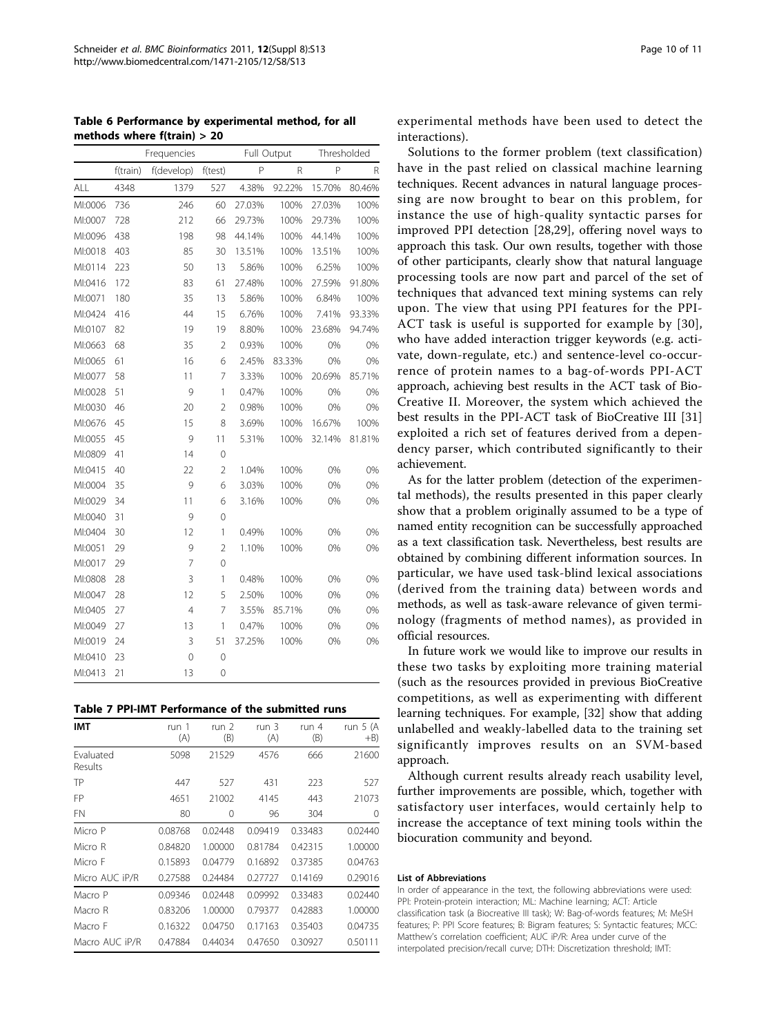<span id="page-9-0"></span>Table 6 Performance by experimental method, for all methods where f(train) > 20

|         | Frequencies |            |                |                | Full Output | Thresholded |        |  |
|---------|-------------|------------|----------------|----------------|-------------|-------------|--------|--|
|         | f(train)    | f(develop) | f(test)        | $\overline{P}$ | R           | P           | R      |  |
| ALL     | 4348        | 1379       | 527            | 4.38%          | 92.22%      | 15.70%      | 80.46% |  |
| MI:0006 | 736         | 246        | 60             | 27.03%         | 100%        | 27.03%      | 100%   |  |
| MI:0007 | 728         | 212        | 66             | 29.73%         | 100%        | 29.73%      | 100%   |  |
| MI:0096 | 438         | 198        | 98             | 44.14%         | 100%        | 44.14%      | 100%   |  |
| MI:0018 | 403         | 85         | 30             | 13.51%         | 100%        | 13.51%      | 100%   |  |
| MI:0114 | 223         | 50         | 13             | 5.86%          | 100%        | 6.25%       | 100%   |  |
| MI:0416 | 172         | 83         | 61             | 27.48%         | 100%        | 27.59%      | 91.80% |  |
| MI:0071 | 180         | 35         | 13             | 5.86%          | 100%        | 6.84%       | 100%   |  |
| MI:0424 | 416         | 44         | 15             | 6.76%          | 100%        | 7.41%       | 93.33% |  |
| MI:0107 | 82          | 19         | 19             | 8.80%          | 100%        | 23.68%      | 94.74% |  |
| MI:0663 | 68          | 35         | $\overline{2}$ | 0.93%          | 100%        | 0%          | 0%     |  |
| MI:0065 | 61          | 16         | 6              | 2.45%          | 83.33%      | 0%          | 0%     |  |
| MI:0077 | 58          | 11         | $\overline{7}$ | 3.33%          | 100%        | 20.69%      | 85.71% |  |
| MI:0028 | 51          | 9          | $\mathbf{1}$   | 0.47%          | 100%        | 0%          | 0%     |  |
| MI:0030 | 46          | 20         | $\overline{2}$ | 0.98%          | 100%        | 0%          | 0%     |  |
| MI:0676 | 45          | 15         | 8              | 3.69%          | 100%        | 16.67%      | 100%   |  |
| MI:0055 | 45          | 9          | 11             | 5.31%          | 100%        | 32.14%      | 81.81% |  |
| MI:0809 | 41          | 14         | 0              |                |             |             |        |  |
| MI:0415 | 40          | 22         | $\overline{2}$ | 1.04%          | 100%        | 0%          | 0%     |  |
| MI:0004 | 35          | 9          | 6              | 3.03%          | 100%        | 0%          | 0%     |  |
| MI:0029 | 34          | 11         | 6              | 3.16%          | 100%        | 0%          | 0%     |  |
| MI:0040 | 31          | 9          | 0              |                |             |             |        |  |
| MI:0404 | 30          | 12         | 1              | 0.49%          | 100%        | 0%          | 0%     |  |
| MI:0051 | 29          | 9          | $\overline{2}$ | 1.10%          | 100%        | 0%          | 0%     |  |
| MI:0017 | 29          | 7          | 0              |                |             |             |        |  |
| MI:0808 | 28          | 3          | 1              | 0.48%          | 100%        | 0%          | 0%     |  |
| MI:0047 | 28          | 12         | 5              | 2.50%          | 100%        | 0%          | 0%     |  |
| MI:0405 | 27          | 4          | 7              | 3.55%          | 85.71%      | 0%          | 0%     |  |
| MI:0049 | 27          | 13         | $\mathbf{1}$   | 0.47%          | 100%        | 0%          | 0%     |  |
| MI:0019 | 24          | 3          | 51             | 37.25%         | 100%        | 0%          | 0%     |  |
| MI:0410 | 23          | 0          | 0              |                |             |             |        |  |
| MI:0413 | 21          | 13         | 0              |                |             |             |        |  |

| Table 7 PPI-IMT Performance of the submitted runs |
|---------------------------------------------------|
|---------------------------------------------------|

| <b>IMT</b>           | run 1<br>(A) | run 2<br>(B) | run 3<br>(A) | run 4<br>(B) | run $5(A)$<br>$+B)$ |
|----------------------|--------------|--------------|--------------|--------------|---------------------|
| Evaluated<br>Results | 5098         | 21529        | 4576         | 666          | 21600               |
| TP                   | 447          | 527          | 431          | 223          | 527                 |
| FP                   | 4651         | 21002        | 4145         | 443          | 21073               |
| FN                   | 80           | 0            | 96           | 304          | 0                   |
| Micro P              | 0.08768      | 0.02448      | 0.09419      | 0.33483      | 0.02440             |
| Micro R              | 0.84820      | 1.00000      | 0.81784      | 0.42315      | 1.00000             |
| Micro F              | 0.15893      | 0.04779      | 0.16892      | 0.37385      | 0.04763             |
| Micro AUC iP/R       | 0.27588      | 0.24484      | 0.27727      | 0.14169      | 0.29016             |
| Macro P              | 0.09346      | 0.02448      | 0.09992      | 0.33483      | 0.02440             |
| Macro R              | 0.83206      | 1.00000      | 0.79377      | 0.42883      | 1.00000             |
| Macro F              | 0.16322      | 0.04750      | 0.17163      | 0.35403      | 0.04735             |
| Macro AUC iP/R       | 0.47884      | 0.44034      | 0.47650      | 0.30927      | 0.50111             |

experimental methods have been used to detect the interactions).

Solutions to the former problem (text classification) have in the past relied on classical machine learning techniques. Recent advances in natural language processing are now brought to bear on this problem, for instance the use of high-quality syntactic parses for improved PPI detection [\[28,29\]](#page-10-0), offering novel ways to approach this task. Our own results, together with those of other participants, clearly show that natural language processing tools are now part and parcel of the set of techniques that advanced text mining systems can rely upon. The view that using PPI features for the PPI-ACT task is useful is supported for example by [[30\]](#page-10-0), who have added interaction trigger keywords (e.g. activate, down-regulate, etc.) and sentence-level co-occurrence of protein names to a bag-of-words PPI-ACT approach, achieving best results in the ACT task of Bio-Creative II. Moreover, the system which achieved the best results in the PPI-ACT task of BioCreative III [\[31](#page-10-0)] exploited a rich set of features derived from a dependency parser, which contributed significantly to their achievement.

As for the latter problem (detection of the experimental methods), the results presented in this paper clearly show that a problem originally assumed to be a type of named entity recognition can be successfully approached as a text classification task. Nevertheless, best results are obtained by combining different information sources. In particular, we have used task-blind lexical associations (derived from the training data) between words and methods, as well as task-aware relevance of given terminology (fragments of method names), as provided in official resources.

In future work we would like to improve our results in these two tasks by exploiting more training material (such as the resources provided in previous BioCreative competitions, as well as experimenting with different learning techniques. For example, [[32\]](#page-10-0) show that adding unlabelled and weakly-labelled data to the training set significantly improves results on an SVM-based approach.

Although current results already reach usability level, further improvements are possible, which, together with satisfactory user interfaces, would certainly help to increase the acceptance of text mining tools within the biocuration community and beyond.

#### List of Abbreviations

In order of appearance in the text, the following abbreviations were used: PPI: Protein-protein interaction; ML: Machine learning; ACT: Article classification task (a Biocreative III task); W: Bag-of-words features; M: MeSH features; P: PPI Score features; B: Bigram features; S: Syntactic features; MCC: Matthew's correlation coefficient; AUC iP/R: Area under curve of the interpolated precision/recall curve; DTH: Discretization threshold; IMT: